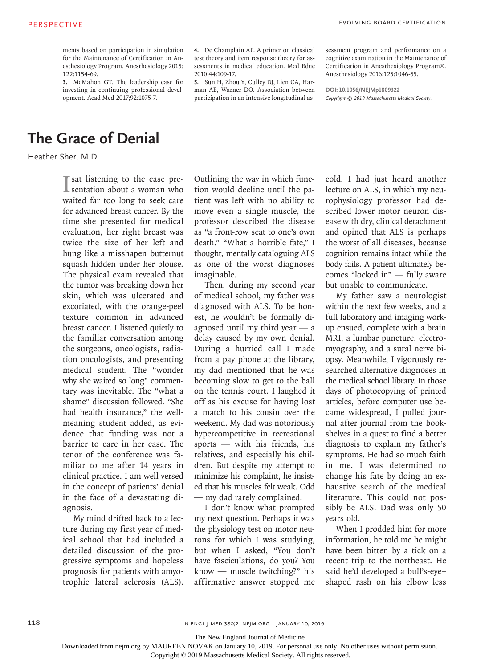ments based on participation in simulation for the Maintenance of Certification in Anesthesiology Program. Anesthesiology 2015; 122:1154-69.

**3.** McMahon GT. The leadership case for investing in continuing professional development. Acad Med 2017;92:1075-7.

**4.** De Champlain AF. A primer on classical test theory and item response theory for assessments in medical education. Med Educ 2010;44:109-17.

**5.** Sun H, Zhou Y, Culley DJ, Lien CA, Harman AE, Warner DO. Association between participation in an intensive longitudinal assessment program and performance on a cognitive examination in the Maintenance of Certification in Anesthesiology Program®. Anesthesiology 2016;125:1046-55.

**DOI: 10.1056/NEJMp1809322 Copyright © 2019 Massachusetts Medical Society.** 

## **The Grace of Denial**

Heather Sher, M.D.

I sat listening to the case pre-sentation about a woman who waited far too long to seek care for advanced breast cancer. By the time she presented for medical evaluation, her right breast was twice the size of her left and hung like a misshapen butternut squash hidden under her blouse. The physical exam revealed that the tumor was breaking down her skin, which was ulcerated and excoriated, with the orange-peel texture common in advanced breast cancer. I listened quietly to the familiar conversation among the surgeons, oncologists, radiation oncologists, and presenting medical student. The "wonder why she waited so long" commentary was inevitable. The "what a shame" discussion followed. "She had health insurance," the wellmeaning student added, as evidence that funding was not a barrier to care in her case. The tenor of the conference was familiar to me after 14 years in clinical practice. I am well versed in the concept of patients' denial in the face of a devastating diagnosis.

My mind drifted back to a lecture during my first year of medical school that had included a detailed discussion of the progressive symptoms and hopeless prognosis for patients with amyotrophic lateral sclerosis (ALS). Outlining the way in which function would decline until the patient was left with no ability to move even a single muscle, the professor described the disease as "a front-row seat to one's own death." "What a horrible fate," I thought, mentally cataloguing ALS as one of the worst diagnoses imaginable.

Then, during my second year of medical school, my father was diagnosed with ALS. To be honest, he wouldn't be formally diagnosed until my third year — a delay caused by my own denial. During a hurried call I made from a pay phone at the library, my dad mentioned that he was becoming slow to get to the ball on the tennis court. I laughed it off as his excuse for having lost a match to his cousin over the weekend. My dad was notoriously hypercompetitive in recreational sports — with his friends, his relatives, and especially his children. But despite my attempt to minimize his complaint, he insisted that his muscles felt weak. Odd — my dad rarely complained.

I don't know what prompted my next question. Perhaps it was the physiology test on motor neurons for which I was studying, but when I asked, "You don't have fasciculations, do you? You know — muscle twitching?" his affirmative answer stopped me cold. I had just heard another lecture on ALS, in which my neurophysiology professor had described lower motor neuron disease with dry, clinical detachment and opined that ALS is perhaps the worst of all diseases, because cognition remains intact while the body fails. A patient ultimately becomes "locked in" — fully aware but unable to communicate.

My father saw a neurologist within the next few weeks, and a full laboratory and imaging workup ensued, complete with a brain MRI, a lumbar puncture, electromyography, and a sural nerve biopsy. Meanwhile, I vigorously researched alternative diagnoses in the medical school library. In those days of photocopying of printed articles, before computer use became widespread, I pulled journal after journal from the bookshelves in a quest to find a better diagnosis to explain my father's symptoms. He had so much faith in me. I was determined to change his fate by doing an exhaustive search of the medical literature. This could not possibly be ALS. Dad was only 50 years old.

When I prodded him for more information, he told me he might have been bitten by a tick on a recent trip to the northeast. He said he'd developed a bull's-eye– shaped rash on his elbow less

n engl j med 380;2 nejm.org January 10, 2019

The New England Journal of Medicine

Downloaded from nejm.org by MAUREEN NOVAK on January 10, 2019. For personal use only. No other uses without permission.

Copyright © 2019 Massachusetts Medical Society. All rights reserved.